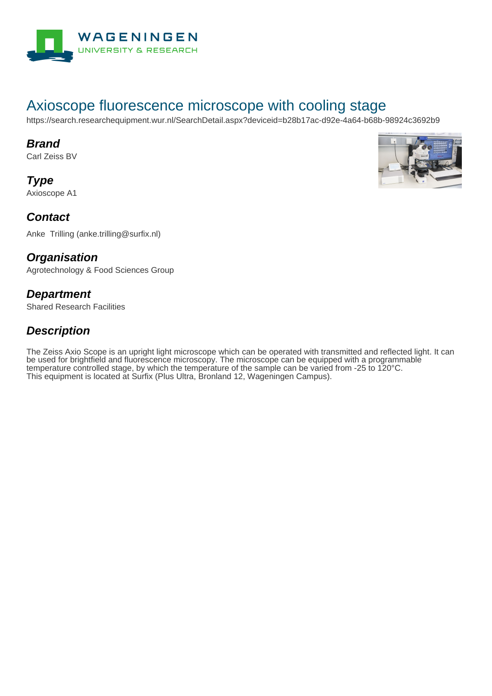

# Axioscope fluorescence microscope with cooling stage

https://search.researchequipment.wur.nl/SearchDetail.aspx?deviceid=b28b17ac-d92e-4a64-b68b-98924c3692b9

#### **Brand**

Carl Zeiss BV

**Type** Axioscope A1



#### **Contact**

Anke Trilling (anke.trilling@surfix.nl)

#### **Organisation**

Agrotechnology & Food Sciences Group

#### **Department**

Shared Research Facilities

### **Description**

The Zeiss Axio Scope is an upright light microscope which can be operated with transmitted and reflected light. It can be used for brightfield and fluorescence microscopy. The microscope can be equipped with a programmable temperature controlled stage, by which the temperature of the sample can be varied from -25 to 120°C. This equipment is located at Surfix (Plus Ultra, Bronland 12, Wageningen Campus).